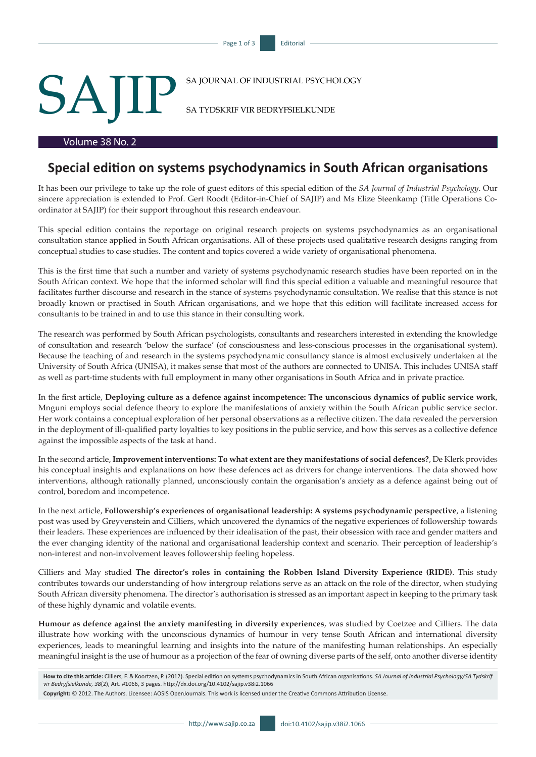# SAJOURNAL OF INDUSTRIAL PSYCHOLOGY<br>SA TYDSKRIF VIR BEDRYFSIELKUNDE

SA TYDSKRIF VIR BEDRYFSIELKUNDE

# Volume 38 No. 2

# **Special edition on systems psychodynamics in South African organisations**

It has been our privilege to take up the role of guest editors of this special edition of the *SA Journal of Industrial Psychology*. Our sincere appreciation is extended to Prof. Gert Roodt (Editor-in-Chief of SAJIP) and Ms Elize Steenkamp (Title Operations Coordinator at SAJIP) for their support throughout this research endeavour.

This special edition contains the reportage on original research projects on systems psychodynamics as an organisational consultation stance applied in South African organisations. All of these projects used qualitative research designs ranging from conceptual studies to case studies. The content and topics covered a wide variety of organisational phenomena.

This is the first time that such a number and variety of systems psychodynamic research studies have been reported on in the South African context. We hope that the informed scholar will find this special edition a valuable and meaningful resource that facilitates further discourse and research in the stance of systems psychodynamic consultation. We realise that this stance is not broadly known or practised in South African organisations, and we hope that this edition will facilitate increased access for consultants to be trained in and to use this stance in their consulting work.

The research was performed by South African psychologists, consultants and researchers interested in extending the knowledge of consultation and research 'below the surface' (of consciousness and less-conscious processes in the organisational system). Because the teaching of and research in the systems psychodynamic consultancy stance is almost exclusively undertaken at the University of South Africa (UNISA), it makes sense that most of the authors are connected to UNISA. This includes UNISA staff as well as part-time students with full employment in many other organisations in South Africa and in private practice.

In the first article, **Deploying culture as a defence against incompetence: The unconscious dynamics of public service work**, Mnguni employs social defence theory to explore the manifestations of anxiety within the South African public service sector. Her work contains a conceptual exploration of her personal observations as a reflective citizen. The data revealed the perversion in the deployment of ill-qualified party loyalties to key positions in the public service, and how this serves as a collective defence against the impossible aspects of the task at hand.

In the second article, **Improvement interventions: To what extent are they manifestations of social defences?**, De Klerk provides his conceptual insights and explanations on how these defences act as drivers for change interventions. The data showed how interventions, although rationally planned, unconsciously contain the organisation's anxiety as a defence against being out of control, boredom and incompetence.

In the next article, **Followership's experiences of organisational leadership: A systems psychodynamic perspective**, a listening post was used by Greyvenstein and Cilliers, which uncovered the dynamics of the negative experiences of followership towards their leaders. These experiences are influenced by their idealisation of the past, their obsession with race and gender matters and the ever changing identity of the national and organisational leadership context and scenario. Their perception of leadership's non-interest and non-involvement leaves followership feeling hopeless.

Cilliers and May studied **The director's roles in containing the Robben Island Diversity Experience (RIDE)**. This study contributes towards our understanding of how intergroup relations serve as an attack on the role of the director, when studying South African diversity phenomena. The director's authorisation is stressed as an important aspect in keeping to the primary task of these highly dynamic and volatile events.

**Humour as defence against the anxiety manifesting in diversity experiences**, was studied by Coetzee and Cilliers. The data illustrate how working with the unconscious dynamics of humour in very tense South African and international diversity experiences, leads to meaningful learning and insights into the nature of the manifesting human relationships. An especially meaningful insight is the use of humour as a projection of the fear of owning diverse parts of the self, onto another diverse identity

**How to cite this article:** Cilliers, F. & Koortzen, P. (2012). Special edition on systems psychodynamics in South African organisations. *SA Journal of Industrial Psychology/SA Tydskrif vir Bedryfsielkunde, 38*(2), Art. #1066, 3 pages. http://dx.doi.org/10.4102/sajip.v38i2.1066

**Copyright:** © 2012. The Authors. Licensee: AOSIS OpenJournals. This work is licensed under the Creative Commons Attribution License.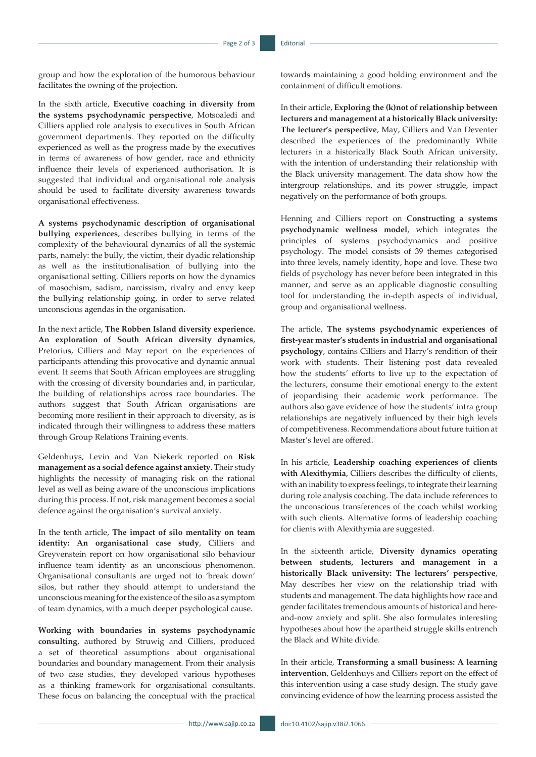group and how the exploration of the humorous behaviour facilitates the owning of the projection.

In the sixth article, **Executive coaching in diversity from the systems psychodynamic perspective**, Motsoaledi and Cilliers applied role analysis to executives in South African government departments. They reported on the difficulty experienced as well as the progress made by the executives in terms of awareness of how gender, race and ethnicity influence their levels of experienced authorisation. It is suggested that individual and organisational role analysis should be used to facilitate diversity awareness towards organisational effectiveness.

**A systems psychodynamic description of organisational bullying experiences**, describes bullying in terms of the complexity of the behavioural dynamics of all the systemic parts, namely: the bully, the victim, their dyadic relationship as well as the institutionalisation of bullying into the organisational setting. Cilliers reports on how the dynamics of masochism, sadism, narcissism, rivalry and envy keep the bullying relationship going, in order to serve related unconscious agendas in the organisation.

In the next article, **The Robben Island diversity experience. An exploration of South African diversity dynamics**, Pretorius, Cilliers and May report on the experiences of participants attending this provocative and dynamic annual event. It seems that South African employees are struggling with the crossing of diversity boundaries and, in particular, the building of relationships across race boundaries. The authors suggest that South African organisations are becoming more resilient in their approach to diversity, as is indicated through their willingness to address these matters through Group Relations Training events.

Geldenhuys, Levin and Van Niekerk reported on **Risk management as a social defence against anxiety**. Their study highlights the necessity of managing risk on the rational level as well as being aware of the unconscious implications during this process. If not, risk management becomes a social defence against the organisation's survival anxiety.

In the tenth article, **The impact of silo mentality on team identity: An organisational case study**, Cilliers and Greyvenstein report on how organisational silo behaviour influence team identity as an unconscious phenomenon. Organisational consultants are urged not to 'break down' silos, but rather they should attempt to understand the unconscious meaning for the existence of the silo as a symptom of team dynamics, with a much deeper psychological cause.

**Working with boundaries in systems psychodynamic consulting**, authored by Struwig and Cilliers, produced a set of theoretical assumptions about organisational boundaries and boundary management. From their analysis of two case studies, they developed various hypotheses as a thinking framework for organisational consultants. These focus on balancing the conceptual with the practical towards maintaining a good holding environment and the containment of difficult emotions.

In their article, **Exploring the (k)not of relationship between lecturers and management at a historically Black university: The lecturer's perspective**, May, Cilliers and Van Deventer described the experiences of the predominantly White lecturers in a historically Black South African university, with the intention of understanding their relationship with the Black university management. The data show how the intergroup relationships, and its power struggle, impact negatively on the performance of both groups.

Henning and Cilliers report on **Constructing a systems psychodynamic wellness model**, which integrates the principles of systems psychodynamics and positive psychology. The model consists of 39 themes categorised into three levels, namely identity, hope and love. These two fields of psychology has never before been integrated in this manner, and serve as an applicable diagnostic consulting tool for understanding the in-depth aspects of individual, group and organisational wellness.

The article, **The systems psychodynamic experiences of first-year master's students in industrial and organisational psychology**, contains Cilliers and Harry's rendition of their work with students. Their listening post data revealed how the students' efforts to live up to the expectation of the lecturers, consume their emotional energy to the extent of jeopardising their academic work performance. The authors also gave evidence of how the students' intra group relationships are negatively influenced by their high levels of competitiveness. Recommendations about future tuition at Master's level are offered.

In his article, **Leadership coaching experiences of clients with Alexithymia**, Cilliers describes the difficulty of clients, with an inability to express feelings, to integrate their learning during role analysis coaching. The data include references to the unconscious transferences of the coach whilst working with such clients. Alternative forms of leadership coaching for clients with Alexithymia are suggested.

In the sixteenth article, **Diversity dynamics operating between students, lecturers and management in a historically Black university: The lecturers' perspective**, May describes her view on the relationship triad with students and management. The data highlights how race and gender facilitates tremendous amounts of historical and hereand-now anxiety and split. She also formulates interesting hypotheses about how the apartheid struggle skills entrench the Black and White divide.

In their article, **Transforming a small business: A learning intervention**, Geldenhuys and Cilliers report on the effect of this intervention using a case study design. The study gave convincing evidence of how the learning process assisted the